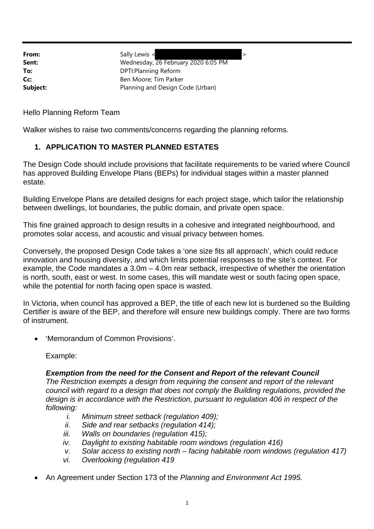**From:** Sally Lewis < **Sent:** Wednesday, 26 February 2020 6:05 PM **To:** DPTI:Planning Reform **Cc:** Ben Moore; Tim Parker **Subject:** Planning and Design Code (Urban)

Hello Planning Reform Team

Walker wishes to raise two comments/concerns regarding the planning reforms.

## **1. APPLICATION TO MASTER PLANNED ESTATES**

The Design Code should include provisions that facilitate requirements to be varied where Council has approved Building Envelope Plans (BEPs) for individual stages within a master planned estate.

Building Envelope Plans are detailed designs for each project stage, which tailor the relationship between dwellings, lot boundaries, the public domain, and private open space.

This fine grained approach to design results in a cohesive and integrated neighbourhood, and promotes solar access, and acoustic and visual privacy between homes.

Conversely, the proposed Design Code takes a 'one size fits all approach', which could reduce innovation and housing diversity, and which limits potential responses to the site's context. For example, the Code mandates a 3.0m – 4.0m rear setback, irrespective of whether the orientation is north, south, east or west. In some cases, this will mandate west or south facing open space, while the potential for north facing open space is wasted.

In Victoria, when council has approved a BEP, the title of each new lot is burdened so the Building Certifier is aware of the BEP, and therefore will ensure new buildings comply. There are two forms of instrument.

'Memorandum of Common Provisions'.

Example:

## *Exemption from the need for the Consent and Report of the relevant Council*

*The Restriction exempts a design from requiring the consent and report of the relevant council with regard to a design that does not comply the Building regulations, provided the design is in accordance with the Restriction, pursuant to regulation 406 in respect of the following:*

- *i. Minimum street setback (regulation 409);*
- *ii. Side and rear setbacks (regulation 414);*
- *iii. Walls on boundaries (regulation 415);*
- *iv. Daylight to existing habitable room windows (regulation 416)*
- *v. Solar access to existing north facing habitable room windows (regulation 417)*
- *vi. Overlooking (regulation 419*
- An Agreement under Section 173 of the *Planning and Environment Act 1995.*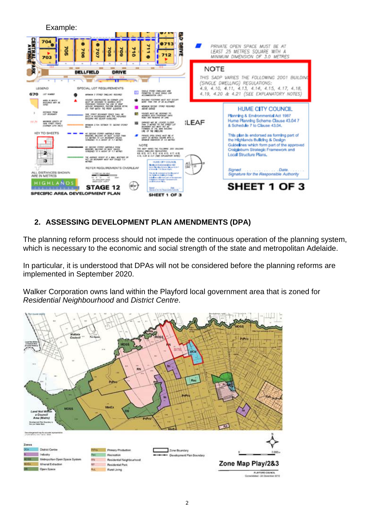

## **2. ASSESSING DEVELOPMENT PLAN AMENDMENTS (DPA)**

The planning reform process should not impede the continuous operation of the planning system, which is necessary to the economic and social strength of the state and metropolitan Adelaide.

In particular, it is understood that DPAs will not be considered before the planning reforms are implemented in September 2020.

Walker Corporation owns land within the Playford local government area that is zoned for *Residential Neighbourhood* and *District Centre*.